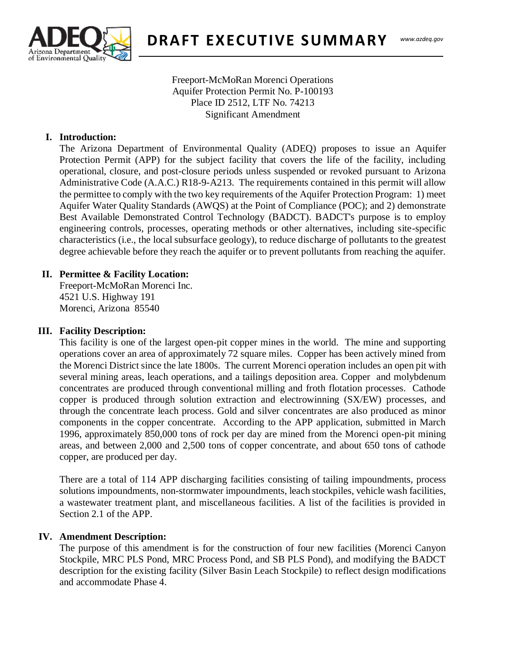

Freeport-McMoRan Morenci Operations Aquifer Protection Permit No. P-100193 Place ID 2512, LTF No. 74213 Significant Amendment

### **I. Introduction:**

The Arizona Department of Environmental Quality (ADEQ) proposes to issue an Aquifer Protection Permit (APP) for the subject facility that covers the life of the facility, including operational, closure, and post-closure periods unless suspended or revoked pursuant to Arizona Administrative Code (A.A.C.) R18-9-A213. The requirements contained in this permit will allow the permittee to comply with the two key requirements of the Aquifer Protection Program: 1) meet Aquifer Water Quality Standards (AWQS) at the Point of Compliance (POC); and 2) demonstrate Best Available Demonstrated Control Technology (BADCT). BADCT's purpose is to employ engineering controls, processes, operating methods or other alternatives, including site-specific characteristics (i.e., the local subsurface geology), to reduce discharge of pollutants to the greatest degree achievable before they reach the aquifer or to prevent pollutants from reaching the aquifer.

# **II. Permittee & Facility Location:**

Freeport-McMoRan Morenci Inc. 4521 U.S. Highway 191 Morenci, Arizona 85540

#### **III. Facility Description:**

This facility is one of the largest open-pit copper mines in the world. The mine and supporting operations cover an area of approximately 72 square miles. Copper has been actively mined from the Morenci District since the late 1800s. The current Morenci operation includes an open pit with several mining areas, leach operations, and a tailings deposition area. Copper and molybdenum concentrates are produced through conventional milling and froth flotation processes. Cathode copper is produced through solution extraction and electrowinning (SX/EW) processes, and through the concentrate leach process. Gold and silver concentrates are also produced as minor components in the copper concentrate. According to the APP application, submitted in March 1996, approximately 850,000 tons of rock per day are mined from the Morenci open-pit mining areas, and between 2,000 and 2,500 tons of copper concentrate, and about 650 tons of cathode copper, are produced per day.

There are a total of 114 APP discharging facilities consisting of tailing impoundments, process solutions impoundments, non-stormwater impoundments, leach stockpiles, vehicle wash facilities, a wastewater treatment plant, and miscellaneous facilities. A list of the facilities is provided in Section 2.1 of the APP.

#### **IV. Amendment Description:**

The purpose of this amendment is for the construction of four new facilities (Morenci Canyon Stockpile, MRC PLS Pond, MRC Process Pond, and SB PLS Pond), and modifying the BADCT description for the existing facility (Silver Basin Leach Stockpile) to reflect design modifications and accommodate Phase 4.